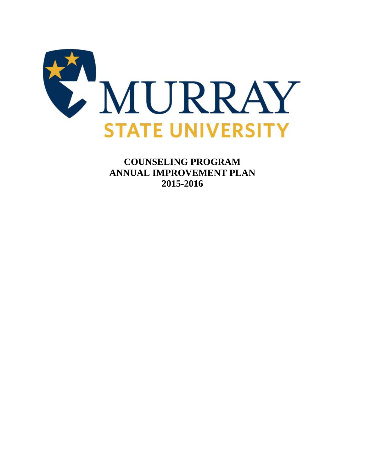

**COUNSELING PROGRAM ANNUAL IMPROVEMENT PLAN 2015-2016**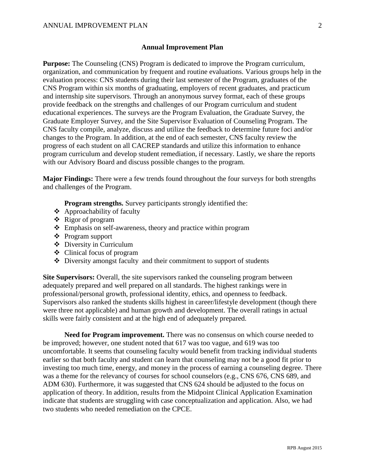## **Annual Improvement Plan**

**Purpose:** The Counseling (CNS) Program is dedicated to improve the Program curriculum, organization, and communication by frequent and routine evaluations. Various groups help in the evaluation process: CNS students during their last semester of the Program, graduates of the CNS Program within six months of graduating, employers of recent graduates, and practicum and internship site supervisors. Through an anonymous survey format, each of these groups provide feedback on the strengths and challenges of our Program curriculum and student educational experiences. The surveys are the Program Evaluation, the Graduate Survey, the Graduate Employer Survey, and the Site Supervisor Evaluation of Counseling Program. The CNS faculty compile, analyze, discuss and utilize the feedback to determine future foci and/or changes to the Program. In addition, at the end of each semester, CNS faculty review the progress of each student on all CACREP standards and utilize this information to enhance program curriculum and develop student remediation, if necessary. Lastly, we share the reports with our Advisory Board and discuss possible changes to the program.

**Major Findings:** There were a few trends found throughout the four surveys for both strengths and challenges of the Program.

**Program strengths.** Survey participants strongly identified the:

- Approachability of faculty
- Rigor of program
- Emphasis on self-awareness, theory and practice within program
- Program support
- Diversity in Curriculum
- Clinical focus of program
- $\triangle$  Diversity amongst faculty and their commitment to support of students

**Site Supervisors:** Overall, the site supervisors ranked the counseling program between adequately prepared and well prepared on all standards. The highest rankings were in professional/personal growth, professional identity, ethics, and openness to feedback. Supervisors also ranked the students skills highest in career/lifestyle development (though there were three not applicable) and human growth and development. The overall ratings in actual skills were fairly consistent and at the high end of adequately prepared.

**Need for Program improvement.** There was no consensus on which course needed to be improved; however, one student noted that 617 was too vague, and 619 was too uncomfortable. It seems that counseling faculty would benefit from tracking individual students earlier so that both faculty and student can learn that counseling may not be a good fit prior to investing too much time, energy, and money in the process of earning a counseling degree. There was a theme for the relevancy of courses for school counselors (e.g., CNS 676, CNS 689, and ADM 630). Furthermore, it was suggested that CNS 624 should be adjusted to the focus on application of theory. In addition, results from the Midpoint Clinical Application Examination indicate that students are struggling with case conceptualization and application. Also, we had two students who needed remediation on the CPCE.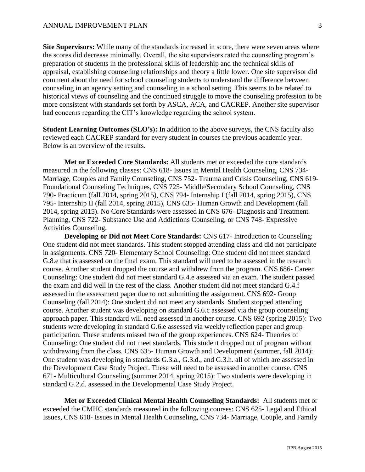**Site Supervisors:** While many of the standards increased in score, there were seven areas where the scores did decrease minimally. Overall, the site supervisors rated the counseling program's preparation of students in the professional skills of leadership and the technical skills of appraisal, establishing counseling relationships and theory a little lower. One site supervisor did comment about the need for school counseling students to understand the difference between counseling in an agency setting and counseling in a school setting. This seems to be related to historical views of counseling and the continued struggle to move the counseling profession to be more consistent with standards set forth by ASCA, ACA, and CACREP. Another site supervisor had concerns regarding the CIT's knowledge regarding the school system.

**Student Learning Outcomes (SLO's):** In addition to the above surveys, the CNS faculty also reviewed each CACREP standard for every student in courses the previous academic year. Below is an overview of the results.

**Met or Exceeded Core Standards:** All students met or exceeded the core standards measured in the following classes: CNS 618- Issues in Mental Health Counseling, CNS 734- Marriage, Couples and Family Counseling, CNS 752- Trauma and Crisis Counseling, CNS 619- Foundational Counseling Techniques, CNS 725- Middle/Secondary School Counseling, CNS 790- Practicum (fall 2014, spring 2015), CNS 794- Internship I (fall 2014, spring 2015), CNS 795- Internship II (fall 2014, spring 2015), CNS 635- Human Growth and Development (fall 2014, spring 2015). No Core Standards were assessed in CNS 676- Diagnosis and Treatment Planning, CNS 722- Substance Use and Addictions Counseling, or CNS 748- Expressive Activities Counseling.

**Developing or Did not Meet Core Standards:** CNS 617- Introduction to Counseling: One student did not meet standards. This student stopped attending class and did not participate in assignments. CNS 720- Elementary School Counseling: One student did not meet standard G.8.e that is assessed on the final exam. This standard will need to be assessed in the research course. Another student dropped the course and withdrew from the program. CNS 686- Career Counseling: One student did not meet standard G.4.e assessed via an exam. The student passed the exam and did well in the rest of the class. Another student did not meet standard G.4.f assessed in the assessment paper due to not submitting the assignment. CNS 692- Group Counseling (fall 2014): One student did not meet any standards. Student stopped attending course. Another student was developing on standard G.6.c assessed via the group counseling approach paper. This standard will need assessed in another course. CNS 692 (spring 2015): Two students were developing in standard G.6.e assessed via weekly reflection paper and group participation. These students missed two of the group experiences. CNS 624- Theories of Counseling: One student did not meet standards. This student dropped out of program without withdrawing from the class. CNS 635- Human Growth and Development (summer, fall 2014): One student was developing in standards G.3.a., G.3.d., and G.3.h. all of which are assessed in the Development Case Study Project. These will need to be assessed in another course. CNS 671- Multicultural Counseling (summer 2014, spring 2015): Two students were developing in standard G.2.d. assessed in the Developmental Case Study Project.

**Met or Exceeded Clinical Mental Health Counseling Standards:** All students met or exceeded the CMHC standards measured in the following courses: CNS 625- Legal and Ethical Issues, CNS 618- Issues in Mental Health Counseling, CNS 734- Marriage, Couple, and Family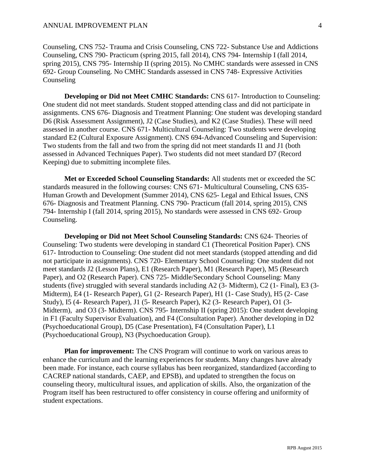Counseling, CNS 752- Trauma and Crisis Counseling, CNS 722- Substance Use and Addictions Counseling, CNS 790- Practicum (spring 2015, fall 2014), CNS 794- Internship I (fall 2014, spring 2015), CNS 795- Internship II (spring 2015). No CMHC standards were assessed in CNS 692- Group Counseling. No CMHC Standards assessed in CNS 748- Expressive Activities **Counseling** 

**Developing or Did not Meet CMHC Standards:** CNS 617- Introduction to Counseling: One student did not meet standards. Student stopped attending class and did not participate in assignments. CNS 676- Diagnosis and Treatment Planning: One student was developing standard D6 (Risk Assessment Assignment), J2 (Case Studies), and K2 (Case Studies). These will need assessed in another course. CNS 671- Multicultural Counseling: Two students were developing standard E2 (Cultural Exposure Assignment). CNS 694-Advanced Counseling and Supervision: Two students from the fall and two from the spring did not meet standards I1 and J1 (both assessed in Advanced Techniques Paper). Two students did not meet standard D7 (Record Keeping) due to submitting incomplete files.

**Met or Exceeded School Counseling Standards:** All students met or exceeded the SC standards measured in the following courses: CNS 671- Multicultural Counseling, CNS 635- Human Growth and Development (Summer 2014), CNS 625- Legal and Ethical Issues, CNS 676- Diagnosis and Treatment Planning. CNS 790- Practicum (fall 2014, spring 2015), CNS 794- Internship I (fall 2014, spring 2015), No standards were assessed in CNS 692- Group Counseling.

**Developing or Did not Meet School Counseling Standards:** CNS 624- Theories of Counseling: Two students were developing in standard C1 (Theoretical Position Paper). CNS 617- Introduction to Counseling: One student did not meet standards (stopped attending and did not participate in assignments). CNS 720- Elementary School Counseling: One student did not meet standards J2 (Lesson Plans), E1 (Research Paper), M1 (Research Paper), M5 (Research Paper), and O2 (Research Paper). CNS 725- Middle/Secondary School Counseling: Many students (five) struggled with several standards including A2 (3- Midterm), C2 (1- Final), E3 (3- Midterm), E4 (1- Research Paper), G1 (2- Research Paper), H1 (1- Case Study), H5 (2- Case Study), I5 (4- Research Paper), J1 (5- Research Paper), K2 (3- Research Paper), O1 (3- Midterm), and O3 (3- Midterm). CNS 795- Internship II (spring 2015): One student developing in F1 (Faculty Supervisor Evaluation), and F4 (Consultation Paper). Another developing in D2 (Psychoeducational Group), D5 (Case Presentation), F4 (Consultation Paper), L1 (Psychoeducational Group), N3 (Psychoeducation Group).

**Plan for improvement:** The CNS Program will continue to work on various areas to enhance the curriculum and the learning experiences for students. Many changes have already been made. For instance, each course syllabus has been reorganized, standardized (according to CACREP national standards, CAEP, and EPSB), and updated to strengthen the focus on counseling theory, multicultural issues, and application of skills. Also, the organization of the Program itself has been restructured to offer consistency in course offering and uniformity of student expectations.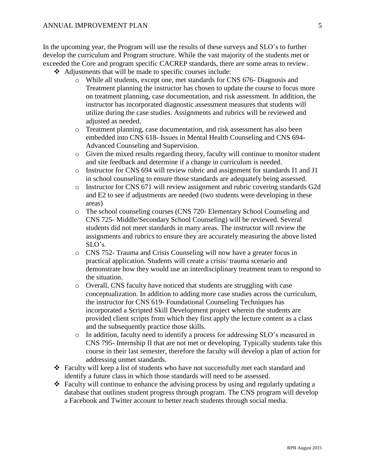In the upcoming year, the Program will use the results of these surveys and SLO's to further develop the curriculum and Program structure. While the vast majority of the students met or exceeded the Core and program specific CACREP standards, there are some areas to review.

- Adjustments that will be made to specific courses include:
	- o While all students, except one, met standards for CNS 676- Diagnosis and Treatment planning the instructor has chosen to update the course to focus more on treatment planning, case documentation, and risk assessment. In addition, the instructor has incorporated diagnostic assessment measures that students will utilize during the case studies. Assignments and rubrics will be reviewed and adjusted as needed.
	- o Treatment planning, case documentation, and risk assessment has also been embedded into CNS 618- Issues in Mental Health Counseling and CNS 694- Advanced Counseling and Supervision.
	- o Given the mixed results regarding theory, faculty will continue to monitor student and site feedback and determine if a change in curriculum is needed.
	- o Instructor for CNS 694 will review rubric and assignment for standards I1 and J1 in school counseling to ensure those standards are adequately being assessed.
	- o Instructor for CNS 671 will review assignment and rubric covering standards G2d and E2 to see if adjustments are needed (two students were developing in these areas)
	- o The school counseling courses (CNS 720- Elementary School Counseling and CNS 725- Middle/Secondary School Counseling) will be reviewed. Several students did not meet standards in many areas. The instructor will review the assignments and rubrics to ensure they are accurately measuring the above listed SLO's.
	- o CNS 752- Trauma and Crisis Counseling will now have a greater focus in practical application. Students will create a crisis/ trauma scenario and demonstrate how they would use an interdisciplinary treatment team to respond to the situation.
	- o Overall, CNS faculty have noticed that students are struggling with case conceptualization. In addition to adding more case studies across the curriculum, the instructor for CNS 619- Foundational Counseling Techniques has incorporated a Scripted Skill Development project wherein the students are provided client scripts from which they first apply the lecture content as a class and the subsequently practice those skills.
	- o In addition, faculty need to identify a process for addressing SLO's measured in CNS 795- Internship II that are not met or developing. Typically students take this course in their last semester, therefore the faculty will develop a plan of action for addressing unmet standards.
- Faculty will keep a list of students who have not successfully met each standard and identify a future class in which those standards will need to be assessed.
- $\triangle$  Faculty will continue to enhance the advising process by using and regularly updating a database that outlines student progress through program. The CNS program will develop a Facebook and Twitter account to better reach students through social media.